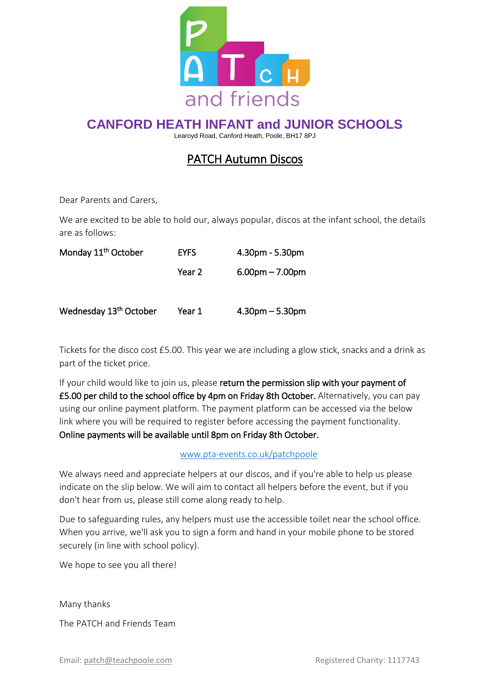

### **CANFORD HEATH INFANT and JUNIOR SCHOOLS**

Learoyd Road, Canford Heath, Poole, BH17 8PJ

## PATCH Autumn Discos

Dear Parents and Carers,

We are excited to be able to hold our, always popular, discos at the infant school, the details are as follows:

| Monday 11 <sup>th</sup> October    | <b>EYFS</b> | 4.30pm - 5.30pm   |
|------------------------------------|-------------|-------------------|
|                                    | Year 2      | $6.00pm - 7.00pm$ |
| Wednesday 13 <sup>th</sup> October | Year 1      | $4.30pm - 5.30pm$ |

Tickets for the disco cost £5.00. This year we are including a glow stick, snacks and a drink as part of the ticket price.

If your child would like to join us, please return the permission slip with your payment of £5.00 per child to the school office by 4pm on Friday 8th October. Alternatively, you can pay using our online payment platform. The payment platform can be accessed via the below link where you will be required to register before accessing the payment functionality. Online payments will be available until 8pm on Friday 8th October.

#### [www.pta-events.co.uk/patchpoole](http://www.pta-events.co.uk/patchpoole)

We always need and appreciate helpers at our discos, and if you're able to help us please indicate on the slip below. We will aim to contact all helpers before the event, but if you don't hear from us, please still come along ready to help.

Due to safeguarding rules, any helpers must use the accessible toilet near the school office. When you arrive, we'll ask you to sign a form and hand in your mobile phone to be stored securely (in line with school policy).

We hope to see you all there!

Many thanks

The PATCH and Friends Team